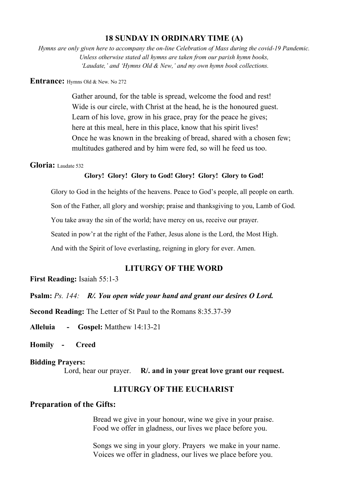## **18 SUNDAY IN ORDINARY TIME (A)**

*Hymns are only given here to accompany the on-line Celebration of Mass during the covid-19 Pandemic. Unless otherwise stated all hymns are taken from our parish hymn books, 'Laudate,' and 'Hymns Old & New,' and my own hymn book collections.*

#### **Entrance:** Hymns Old & New. No 272

Gather around, for the table is spread, welcome the food and rest! Wide is our circle, with Christ at the head, he is the honoured guest. Learn of his love, grow in his grace, pray for the peace he gives; here at this meal, here in this place, know that his spirit lives! Once he was known in the breaking of bread, shared with a chosen few; multitudes gathered and by him were fed, so will he feed us too.

### **Gloria:** Laudate 532

### **Glory! Glory! Glory to God! Glory! Glory! Glory to God!**

Glory to God in the heights of the heavens. Peace to God's people, all people on earth.

Son of the Father, all glory and worship; praise and thanksgiving to you, Lamb of God.

You take away the sin of the world; have mercy on us, receive our prayer.

Seated in pow'r at the right of the Father, Jesus alone is the Lord, the Most High.

And with the Spirit of love everlasting, reigning in glory for ever. Amen.

## **LITURGY OF THE WORD**

**First Reading:** Isaiah 55:1-3

**Psalm:** *Ps. 144: R/. You open wide your hand and grant our desires O Lord.*

**Second Reading:** The Letter of St Paul to the Romans 8:35.37-39

**Alleluia - Gospel:** Matthew 14:13-21

**Homily - Creed**

#### **Bidding Prayers:**

Lord, hear our prayer. **R/. and in your great love grant our request.**

# **LITURGY OF THE EUCHARIST**

### **Preparation of the Gifts:**

Bread we give in your honour, wine we give in your praise. Food we offer in gladness, our lives we place before you.

Songs we sing in your glory. Prayers we make in your name. Voices we offer in gladness, our lives we place before you.